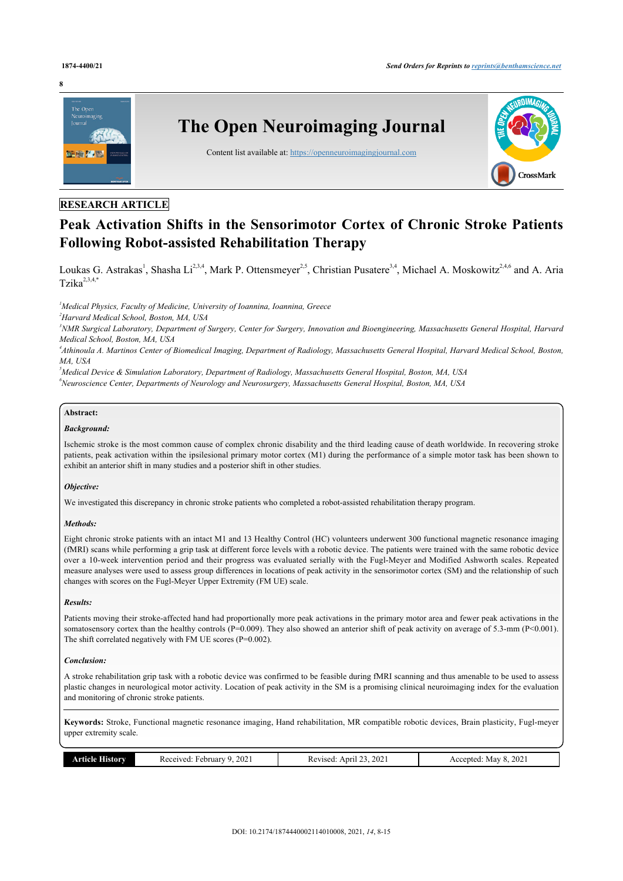#### **8**



# **RESEARCH ARTICLE**

# **Peak Activation Shifts in the Sensorimotor Cortex of Chronic Stroke Patients Following Robot-assisted Rehabilitation Therapy**

Loukas G. Astrakas<sup>[1](#page-0-0)</sup>, Shasha Li<sup>[2](#page-0-1)[,3](#page-0-2),[4](#page-0-3)</sup>, Mark P. Ottensmeyer<sup>[2,](#page-0-1)[5](#page-0-4)</sup>, Christian Pusatere<sup>[3](#page-0-2),4</sup>, Michael A. Moskowitz<sup>2,[4,](#page-0-3)[6](#page-0-5)</sup> and A. Aria Tzika $2,3,4,*$  $2,3,4,*$  $2,3,4,*$  $2,3,4,*$  $2,3,4,*$  $2,3,4,*$  $2,3,4,*$ 

<span id="page-0-0"></span>*<sup>1</sup>Medical Physics, Faculty of Medicine, University of Ioannina, Ioannina, Greece*

<span id="page-0-1"></span>*<sup>2</sup>Harvard Medical School, Boston, MA, USA*

<span id="page-0-2"></span>*<sup>3</sup>NMR Surgical Laboratory, Department of Surgery, Center for Surgery, Innovation and Bioengineering, Massachusetts General Hospital, Harvard Medical School, Boston, MA, USA*

<span id="page-0-3"></span>*4 Athinoula A. Martinos Center of Biomedical Imaging, Department of Radiology, Massachusetts General Hospital, Harvard Medical School, Boston, MA, USA*

<span id="page-0-5"></span><span id="page-0-4"></span>*<sup>5</sup>Medical Device & Simulation Laboratory, Department of Radiology, Massachusetts General Hospital, Boston, MA, USA <sup>6</sup>Neuroscience Center, Departments of Neurology and Neurosurgery, Massachusetts General Hospital, Boston, MA, USA*

# **Abstract:**

# *Background:*

Ischemic stroke is the most common cause of complex chronic disability and the third leading cause of death worldwide. In recovering stroke patients, peak activation within the ipsilesional primary motor cortex (M1) during the performance of a simple motor task has been shown to exhibit an anterior shift in many studies and a posterior shift in other studies.

# *Objective:*

We investigated this discrepancy in chronic stroke patients who completed a robot-assisted rehabilitation therapy program.

# *Methods:*

Eight chronic stroke patients with an intact M1 and 13 Healthy Control (HC) volunteers underwent 300 functional magnetic resonance imaging (fMRI) scans while performing a grip task at different force levels with a robotic device. The patients were trained with the same robotic device over a 10-week intervention period and their progress was evaluated serially with the Fugl-Meyer and Modified Ashworth scales. Repeated measure analyses were used to assess group differences in locations of peak activity in the sensorimotor cortex (SM) and the relationship of such changes with scores on the Fugl-Meyer Upper Extremity (FM UE) scale.

# *Results:*

Patients moving their stroke-affected hand had proportionally more peak activations in the primary motor area and fewer peak activations in the somatosensory cortex than the healthy controls (P=0.009). They also showed an anterior shift of peak activity on average of 5.3-mm (P<0.001). The shift correlated negatively with FM UE scores (P=0.002).

#### *Conclusion:*

A stroke rehabilitation grip task with a robotic device was confirmed to be feasible during fMRI scanning and thus amenable to be used to assess plastic changes in neurological motor activity. Location of peak activity in the SM is a promising clinical neuroimaging index for the evaluation and monitoring of chronic stroke patients.

**Keywords:** Stroke, Functional magnetic resonance imaging, Hand rehabilitation, MR compatible robotic devices, Brain plasticity, Fugl-meyer upper extremity scale.

|  | . | 202<br>uarv<br>$\overline{A}$<br>- R P<br>2021 -<br>$\sim$<br>$-1$ | 202<br>$\cdots$<br>71sed<br>$\mathbf{a}$<br>n.<br>-1111-1<br>.<br>______ | 202<br>viav<br>.nted<br>``<br>$  -$ |
|--|---|--------------------------------------------------------------------|--------------------------------------------------------------------------|-------------------------------------|
|--|---|--------------------------------------------------------------------|--------------------------------------------------------------------------|-------------------------------------|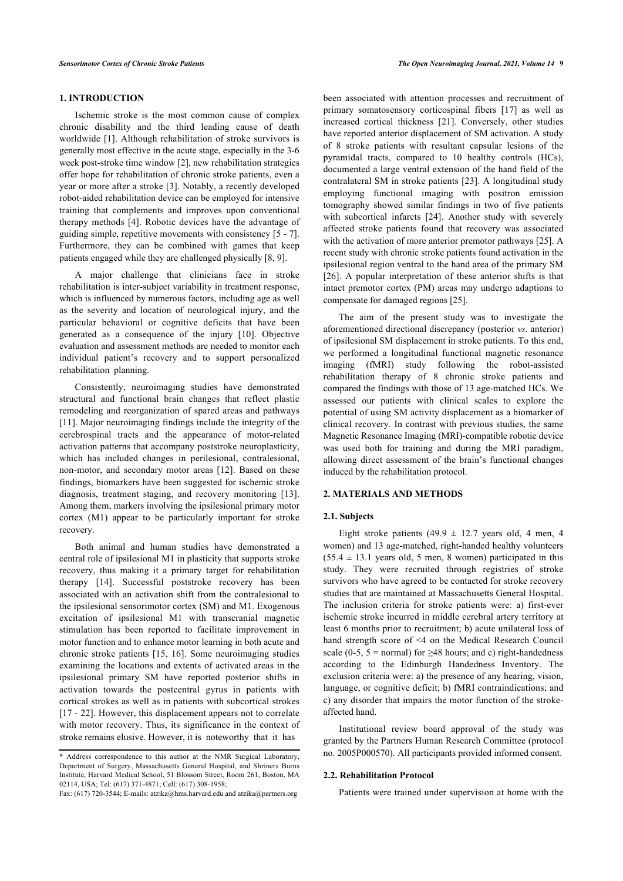Ischemic stroke is the most common cause of complex chronic disability and the third leading cause of death worldwide [\[1\]](#page-5-0). Although rehabilitation of stroke survivors is generally most effective in the acute stage, especially in the 3-6 week post-stroke time window [[2](#page-5-1)], new rehabilitation strategies offer hope for rehabilitation of chronic stroke patients, even a year or more after a stroke [[3](#page-5-2)]. Notably, a recently developed robot-aided rehabilitation device can be employed for intensive training that complements and improves upon conventional therapy methods [\[4](#page-5-3)]. Robotic devices have the advantage of guiding simple, repetitive movements with consistency [[5](#page-5-4) - [7](#page-5-5)]. Furthermore, they can be combined with games that keep patients engaged while they are challenged physically [[8](#page-5-6), [9](#page-5-7)].

A major challenge that clinicians face in stroke rehabilitation is inter-subject variability in treatment response, which is influenced by numerous factors, including age as well as the severity and location of neurological injury, and the particular behavioral or cognitive deficits that have been generated as a consequence of the injury[[10](#page-5-8)]. Objective evaluation and assessment methods are needed to monitor each individual patient's recovery and to support personalized rehabilitation planning.

Consistently, neuroimaging studies have demonstrated structural and functional brain changes that reflect plastic remodeling and reorganization of spared areas and pathways [[11\]](#page-5-9). Major neuroimaging findings include the integrity of the cerebrospinal tracts and the appearance of motor-related activation patterns that accompany poststroke neuroplasticity, which has included changes in perilesional, contralesional, non-motor, and secondary motor areas [\[12\]](#page-5-10). Based on these findings, biomarkers have been suggested for ischemic stroke diagnosis, treatment staging, and recovery monitoring[[13\]](#page-5-11). Among them, markers involving the ipsilesional primary motor cortex (M1) appear to be particularly important for stroke recovery.

Both animal and human studies have demonstrated a central role of ipsilesional M1 in plasticity that supports stroke recovery, thus making it a primary target for rehabilitation therapy[[14](#page-6-0)]. Successful poststroke recovery has been associated with an activation shift from the contralesional to the ipsilesional sensorimotor cortex (SM) and M1. Exogenous excitation of ipsilesional M1 with transcranial magnetic stimulation has been reported to facilitate improvement in motor function and to enhance motor learning in both acute and chronic stroke patients [[15](#page-6-1), [16](#page-6-2)]. Some neuroimaging studies examining the locations and extents of activated areas in the ipsilesional primary SM have reported posterior shifts in activation towards the postcentral gyrus in patients with cortical strokes as well as in patients with subcortical strokes [[17](#page-6-3) - [22](#page-6-4)]. However, this displacement appears not to correlate with motor recovery. Thus, its significance in the context of stroke remains elusive. However, it is noteworthy that it has

been associated with attention processes and recruitment of primary somatosensory corticospinal fibers [\[17](#page-6-3)] as well as increased cortical thickness[[21](#page-6-5)]. Conversely, other studies have reported anterior displacement of SM activation. A study of 8 stroke patients with resultant capsular lesions of the pyramidal tracts, compared to 10 healthy controls (HCs), documented a large ventral extension of the hand field of the contralateral SM in stroke patients [\[23](#page-6-6)]. A longitudinal study employing functional imaging with positron emission tomography showed similar findings in two of five patients with subcortical infarcts[[24\]](#page-6-7). Another study with severely affected stroke patients found that recovery was associated with the activation of more anterior premotor pathways [\[25](#page-6-8)]. A recent study with chronic stroke patients found activation in the ipsilesional region ventral to the hand area of the primary SM [[26](#page-6-9)]. A popular interpretation of these anterior shifts is that intact premotor cortex (PM) areas may undergo adaptions to compensate for damaged regions [[25\]](#page-6-8).

The aim of the present study was to investigate the aforementioned directional discrepancy (posterior *vs*. anterior) of ipsilesional SM displacement in stroke patients. To this end, we performed a longitudinal functional magnetic resonance imaging (fMRI) study following the robot-assisted rehabilitation therapy of 8 chronic stroke patients and compared the findings with those of 13 age-matched HCs. We assessed our patients with clinical scales to explore the potential of using SM activity displacement as a biomarker of clinical recovery. In contrast with previous studies, the same Magnetic Resonance Imaging (MRI)-compatible robotic device was used both for training and during the MRI paradigm, allowing direct assessment of the brain's functional changes induced by the rehabilitation protocol.

# **2. MATERIALS AND METHODS**

#### **2.1. Subjects**

Eight stroke patients  $(49.9 \pm 12.7)$  years old, 4 men, 4 women) and 13 age-matched, right-handed healthy volunteers  $(55.4 \pm 13.1$  years old, 5 men, 8 women) participated in this study. They were recruited through registries of stroke survivors who have agreed to be contacted for stroke recovery studies that are maintained at Massachusetts General Hospital. The inclusion criteria for stroke patients were: a) first-ever ischemic stroke incurred in middle cerebral artery territory at least 6 months prior to recruitment; b) acute unilateral loss of hand strength score of <4 on the Medical Research Council scale (0-5, 5 = normal) for  $\geq$ 48 hours; and c) right-handedness according to the Edinburgh Handedness Inventory. The exclusion criteria were: a) the presence of any hearing, vision, language, or cognitive deficit; b) fMRI contraindications; and c) any disorder that impairs the motor function of the strokeaffected hand.

Institutional review board approval of the study was granted by the Partners Human Research Committee (protocol no. 2005P000570). All participants provided informed consent.

#### **2.2. Rehabilitation Protocol**

Patients were trained under supervision at home with the

<span id="page-1-0"></span><sup>\*</sup> Address correspondence to this author at the NMR Surgical Laboratory, Department of Surgery, Massachusetts General Hospital, and Shriners Burns Institute, Harvard Medical School, 51 Blossom Street, Room 261, Boston, MA 02114, USA; Tel: (617) 371-4871; Cell: (617) 308-1958;

Fax: (617) 720-3544; E-mails: [atzika@hms.harvard.edu](mailto:atzika@hms.harvard.edu) and [atzika@partners.org](mailto:atzika@partners.org)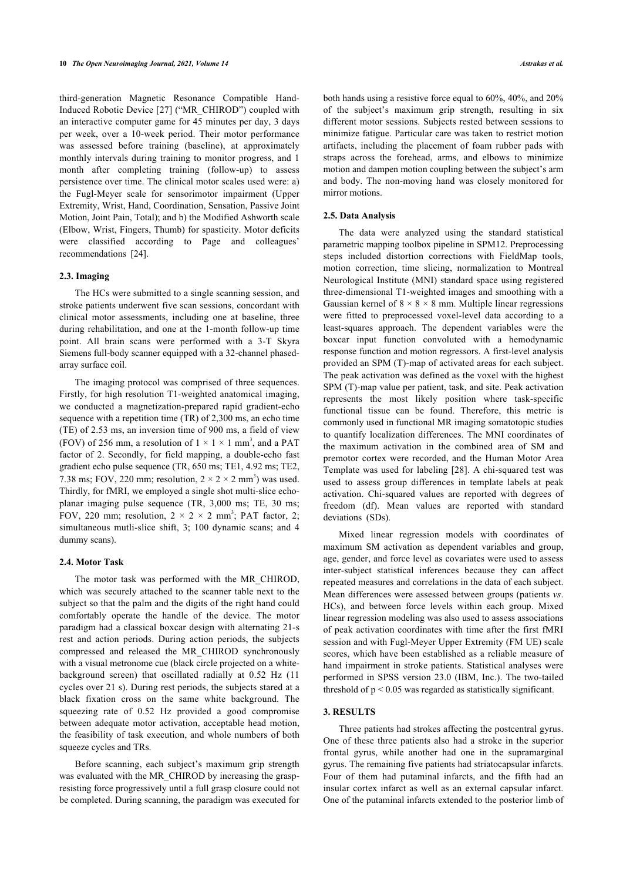third-generation Magnetic Resonance Compatible Hand-Induced Robotic Device [[27\]](#page-6-10) ("MR\_CHIROD") coupled with an interactive computer game for 45 minutes per day, 3 days per week, over a 10-week period. Their motor performance was assessed before training (baseline), at approximately monthly intervals during training to monitor progress, and 1 month after completing training (follow-up) to assess persistence over time. The clinical motor scales used were: a) the Fugl-Meyer scale for sensorimotor impairment (Upper Extremity, Wrist, Hand, Coordination, Sensation, Passive Joint Motion, Joint Pain, Total); and b) the Modified Ashworth scale (Elbow, Wrist, Fingers, Thumb) for spasticity. Motor deficits were classified according to Page and colleagues' recommendations[[24\]](#page-6-7).

#### **2.3. Imaging**

The HCs were submitted to a single scanning session, and stroke patients underwent five scan sessions, concordant with clinical motor assessments, including one at baseline, three during rehabilitation, and one at the 1-month follow-up time point. All brain scans were performed with a 3-T Skyra Siemens full-body scanner equipped with a 32-channel phasedarray surface coil.

The imaging protocol was comprised of three sequences. Firstly, for high resolution T1-weighted anatomical imaging, we conducted a magnetization-prepared rapid gradient-echo sequence with a repetition time (TR) of 2,300 ms, an echo time (TE) of 2.53 ms, an inversion time of 900 ms, a field of view (FOV) of 256 mm, a resolution of  $1 \times 1 \times 1$  mm<sup>3</sup>, and a PAT factor of 2. Secondly, for field mapping, a double-echo fast gradient echo pulse sequence (TR, 650 ms; TE1, 4.92 ms; TE2, 7.38 ms; FOV, 220 mm; resolution,  $2 \times 2 \times 2$  mm<sup>3</sup>) was used. Thirdly, for fMRI, we employed a single shot multi-slice echoplanar imaging pulse sequence (TR, 3,000 ms; TE, 30 ms; FOV, 220 mm; resolution,  $2 \times 2 \times 2$  mm<sup>3</sup>; PAT factor, 2; simultaneous mutli-slice shift, 3; 100 dynamic scans; and 4 dummy scans).

#### **2.4. Motor Task**

The motor task was performed with the MR\_CHIROD, which was securely attached to the scanner table next to the subject so that the palm and the digits of the right hand could comfortably operate the handle of the device. The motor paradigm had a classical boxcar design with alternating 21-s rest and action periods. During action periods, the subjects compressed and released the MR\_CHIROD synchronously with a visual metronome cue (black circle projected on a whitebackground screen) that oscillated radially at 0.52 Hz (11 cycles over 21 s). During rest periods, the subjects stared at a black fixation cross on the same white background. The squeezing rate of 0.52 Hz provided a good compromise between adequate motor activation, acceptable head motion, the feasibility of task execution, and whole numbers of both squeeze cycles and TRs.

Before scanning, each subject's maximum grip strength was evaluated with the MR\_CHIROD by increasing the graspresisting force progressively until a full grasp closure could not be completed. During scanning, the paradigm was executed for both hands using a resistive force equal to 60%, 40%, and 20% of the subject's maximum grip strength, resulting in six different motor sessions. Subjects rested between sessions to minimize fatigue. Particular care was taken to restrict motion artifacts, including the placement of foam rubber pads with straps across the forehead, arms, and elbows to minimize motion and dampen motion coupling between the subject's arm and body. The non-moving hand was closely monitored for mirror motions.

#### **2.5. Data Analysis**

The data were analyzed using the standard statistical parametric mapping toolbox pipeline in SPM12. Preprocessing steps included distortion corrections with FieldMap tools, motion correction, time slicing, normalization to Montreal Neurological Institute (MNI) standard space using registered three-dimensional T1-weighted images and smoothing with a Gaussian kernel of  $8 \times 8 \times 8$  mm. Multiple linear regressions were fitted to preprocessed voxel-level data according to a least-squares approach. The dependent variables were the boxcar input function convoluted with a hemodynamic response function and motion regressors. A first-level analysis provided an SPM (T)-map of activated areas for each subject. The peak activation was defined as the voxel with the highest SPM (T)-map value per patient, task, and site. Peak activation represents the most likely position where task-specific functional tissue can be found. Therefore, this metric is commonly used in functional MR imaging somatotopic studies to quantify localization differences. The MNI coordinates of the maximum activation in the combined area of SM and premotor cortex were recorded, and the Human Motor Area Template was used for labeling [\[28\]](#page-6-11). Α chi-squared test was used to assess group differences in template labels at peak activation. Chi-squared values are reported with degrees of freedom (df). Mean values are reported with standard deviations (SDs).

Mixed linear regression models with coordinates of maximum SM activation as dependent variables and group, age, gender, and force level as covariates were used to assess inter-subject statistical inferences because they can affect repeated measures and correlations in the data of each subject. Mean differences were assessed between groups (patients *vs*. HCs), and between force levels within each group. Mixed linear regression modeling was also used to assess associations of peak activation coordinates with time after the first fMRI session and with Fugl-Meyer Upper Extremity (FM UE) scale scores, which have been established as a reliable measure of hand impairment in stroke patients. Statistical analyses were performed in SPSS version 23.0 (IBM, Inc.). Τhe two-tailed threshold of  $p < 0.05$  was regarded as statistically significant.

# **3. RESULTS**

Three patients had strokes affecting the postcentral gyrus. One of these three patients also had a stroke in the superior frontal gyrus, while another had one in the supramarginal gyrus. The remaining five patients had striatocapsular infarcts. Four of them had putaminal infarcts, and the fifth had an insular cortex infarct as well as an external capsular infarct. One of the putaminal infarcts extended to the posterior limb of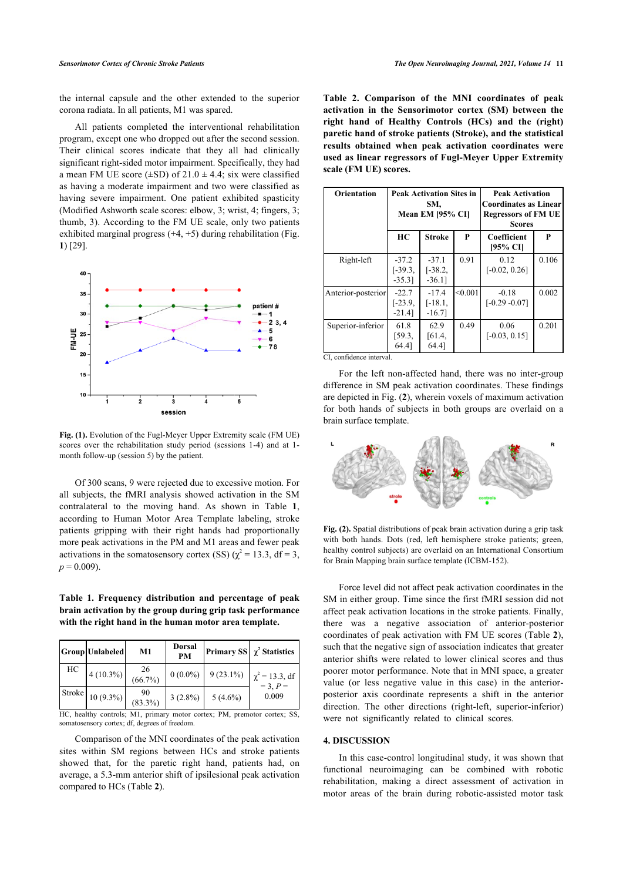the internal capsule and the other extended to the superior corona radiata. In all patients, M1 was spared.

All patients completed the interventional rehabilitation program, except one who dropped out after the second session. Their clinical scores indicate that they all had clinically significant right-sided motor impairment. Specifically, they had a mean FM UE score ( $\pm$ SD) of 21.0  $\pm$  4.4; six were classified as having a moderate impairment and two were classified as having severe impairment. One patient exhibited spasticity (Modified Ashworth scale scores: elbow, 3; wrist, 4; fingers, 3; thumb, 3). According to the FM UE scale, only two patients exhibited marginal progress  $(+4, +5)$  during rehabilitation (Fig. **[1](#page-3-0)**) [\[29](#page-6-12)].

<span id="page-3-0"></span>

<span id="page-3-3"></span>**Fig. (1).** Evolution of the Fugl-Meyer Upper Extremity scale (FM UE) scores over the rehabilitation study period (sessions 1-4) and at 1 month follow-up (session 5) by the patient.

Of 300 scans, 9 were rejected due to excessive motion. For all subjects, the fMRI analysis showed activation in the SM contralateral to the moving hand. As shown in Table**1**, according to Human Motor Area Template labeling, stroke patients gripping with their right hands had proportionally more peak activations in the PM and M1 areas and fewer peak activations in the somatosensory cortex (SS) ( $\chi^2$  = 13.3, df = 3,  $p = 0.009$ ).

<span id="page-3-1"></span>**Table 1. Frequency distribution and percentage of peak brain activation by the group during grip task performance with the right hand in the human motor area template.**

|        | Group Unlabeled | M1               | <b>Dorsal</b><br><b>PM</b> |             | Primary SS $\chi^2$ Statistics   |
|--------|-----------------|------------------|----------------------------|-------------|----------------------------------|
| HС     | $4(10.3\%)$     | 26<br>$(66.7\%)$ | $0(0.0\%)$                 | $9(23.1\%)$ | $\chi^2 = 13.3$ , df<br>= 3, P = |
| Stroke | $10(9.3\%)$     | 90<br>$(83.3\%)$ | $3(2.8\%)$                 | $5(4.6\%)$  | 0.009                            |

HC, healthy controls; M1, primary motor cortex; PM, premotor cortex; SS, somatosensory cortex; df, degrees of freedom.

<span id="page-3-2"></span>Comparison of the MNI coordinates of the peak activation sites within SM regions between HCs and stroke patients showed that, for the paretic right hand, patients had, on average, a 5.3-mm anterior shift of ipsilesional peak activation compared to HCs (Table **[2](#page-3-2)**).

**Table 2. Comparison of the MNI coordinates of peak activation in the Sensorimotor cortex (SM) between the right hand of Healthy Controls (HCs) and the (right) paretic hand of stroke patients (Stroke), and the statistical results obtained when peak activation coordinates were used as linear regressors of Fugl-Meyer Upper Extremity scale (FM UE) scores.**

| <b>Orientation</b> | <b>Peak Activation Sites in</b><br>SM,<br>Mean EM [95% CI] |                                   |         | <b>Peak Activation</b><br><b>Coordinates as Linear</b><br><b>Regressors of FM UE</b><br><b>Scores</b> |       |
|--------------------|------------------------------------------------------------|-----------------------------------|---------|-------------------------------------------------------------------------------------------------------|-------|
|                    | HC                                                         | <b>Stroke</b>                     | P       | Coefficient<br>[95% CI]                                                                               | P     |
| Right-left         | $-37.2$<br>$[-39.3,$<br>$-35.3$ ]                          | $-37.1$<br>$[-38.2,$<br>$-36.1$ ] | 0.91    | 0.12<br>$[-0.02, 0.26]$                                                                               | 0.106 |
| Anterior-posterior | $-22.7$<br>$[-23.9,$<br>$-21.4$ ]                          | $-17.4$<br>$[-18.1,$<br>$-16.7$ ] | < 0.001 | $-0.18$<br>$[-0.29 - 0.07]$                                                                           | 0.002 |
| Superior-inferior  | 61.8<br>[59.3,<br>64.41                                    | 62.9<br>[61.4,<br>64.41           | 0.49    | 0.06<br>$[-0.03, 0.15]$                                                                               | 0.201 |

CI, confidence interval.

For the left non-affected hand, there was no inter-group difference in SM peak activation coordinates. These findings are depicted in Fig. (**[2](#page-3-3)**), wherein voxels of maximum activation for both hands of subjects in both groups are overlaid on a brain surface template.



**Fig. (2).** Spatial distributions of peak brain activation during a grip task with both hands. Dots (red, left hemisphere stroke patients; green, healthy control subjects) are overlaid on an International Consortium for Brain Mapping brain surface template (ICBM-152).

Force level did not affect peak activation coordinates in the SM in either group. Time since the first fMRI session did not affect peak activation locations in the stroke patients. Finally, there was a negative association of anterior-posterior coordinates of peak activation with FM UE scores (Table **[2](#page-3-2)**), such that the negative sign of association indicates that greater anterior shifts were related to lower clinical scores and thus poorer motor performance. Note that in MNI space, a greater value (or less negative value in this case) in the anteriorposterior axis coordinate represents a shift in the anterior direction. The other directions (right-left, superior-inferior) were not significantly related to clinical scores.

# **4. DISCUSSION**

In this case-control longitudinal study, it was shown that functional neuroimaging can be combined with robotic rehabilitation, making a direct assessment of activation in motor areas of the brain during robotic-assisted motor task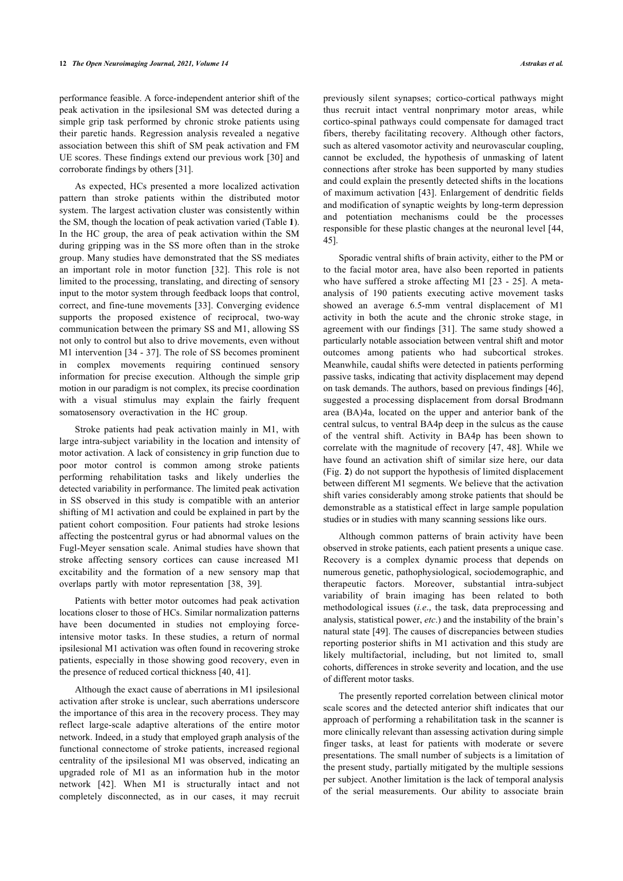performance feasible. A force-independent anterior shift of the peak activation in the ipsilesional SM was detected during a simple grip task performed by chronic stroke patients using their paretic hands. Regression analysis revealed a negative association between this shift of SM peak activation and FM UE scores. These findings extend our previous work [\[30](#page-6-13)] and corroborate findings by others [[31\]](#page-6-14).

As expected, HCs presented a more localized activation pattern than stroke patients within the distributed motor system. The largest activation cluster was consistently within the SM, though the location of peak activation varied (Table **[1](#page-3-1)**). In the HC group, the area of peak activation within the SM during gripping was in the SS more often than in the stroke group. Many studies have demonstrated that the SS mediates an important role in motor function [\[32](#page-6-15)]. This role is not limited to the processing, translating, and directing of sensory input to the motor system through feedback loops that control, correct, and fine-tune movements [\[33](#page-6-16)]. Converging evidence supports the proposed existence of reciprocal, two-way communication between the primary SS and M1, allowing SS not only to control but also to drive movements, even without M1 intervention [\[34](#page-6-17) - [37\]](#page-6-18). The role of SS becomes prominent in complex movements requiring continued sensory information for precise execution. Although the simple grip motion in our paradigm is not complex, its precise coordination with a visual stimulus may explain the fairly frequent somatosensory overactivation in the HC group.

Stroke patients had peak activation mainly in M1, with large intra-subject variability in the location and intensity of motor activation. A lack of consistency in grip function due to poor motor control is common among stroke patients performing rehabilitation tasks and likely underlies the detected variability in performance. The limited peak activation in SS observed in this study is compatible with an anterior shifting of M1 activation and could be explained in part by the patient cohort composition. Four patients had stroke lesions affecting the postcentral gyrus or had abnormal values on the Fugl-Meyer sensation scale. Animal studies have shown that stroke affecting sensory cortices can cause increased M1 excitability and the formation of a new sensory map that overlaps partly with motor representation[[38,](#page-6-19) [39](#page-6-20)].

Patients with better motor outcomes had peak activation locations closer to those of HCs. Similar normalization patterns have been documented in studies not employing forceintensive motor tasks. In these studies, a return of normal ipsilesional M1 activation was often found in recovering stroke patients, especially in those showing good recovery, even in the presence of reduced cortical thickness [\[40](#page-6-21), [41\]](#page-6-22).

Although the exact cause of aberrations in M1 ipsilesional activation after stroke is unclear, such aberrations underscore the importance of this area in the recovery process. They may reflect large-scale adaptive alterations of the entire motor network. Indeed, in a study that employed graph analysis of the functional connectome of stroke patients, increased regional centrality of the ipsilesional M1 was observed, indicating an upgraded role of M1 as an information hub in the motor network[[42\]](#page-6-23). When M1 is structurally intact and not completely disconnected, as in our cases, it may recruit

previously silent synapses; cortico-cortical pathways might thus recruit intact ventral nonprimary motor areas, while cortico-spinal pathways could compensate for damaged tract fibers, thereby facilitating recovery. Although other factors, such as altered vasomotor activity and neurovascular coupling, cannot be excluded, the hypothesis of unmasking of latent connections after stroke has been supported by many studies and could explain the presently detected shifts in the locations of maximum activation [[43](#page-6-24)]. Enlargement of dendritic fields and modification of synaptic weights by long-term depression and potentiation mechanisms could be the processes responsible for these plastic changes at the neuronal level [\[44](#page-6-25), [45\]](#page-6-26).

Sporadic ventral shifts of brain activity, either to the PM or to the facial motor area, have also been reported in patients who have suffered a stroke affecting M1 [[23](#page-6-6) - [25](#page-6-8)]. A metaanalysis of 190 patients executing active movement tasks showed an average 6.5-mm ventral displacement of M1 activity in both the acute and the chronic stroke stage, in agreement with our findings [\[31\]](#page-6-14). The same study showed a particularly notable association between ventral shift and motor outcomes among patients who had subcortical strokes. Meanwhile, caudal shifts were detected in patients performing passive tasks, indicating that activity displacement may depend on task demands. The authors, based on previous findings [\[46](#page-6-11)], suggested a processing displacement from dorsal Brodmann area (BA)4a, located on the upper and anterior bank of the central sulcus, to ventral BA4p deep in the sulcus as the cause of the ventral shift. Activity in BA4p has been shown to correlate with the magnitude of recovery [[47](#page-6-27), [48\]](#page-6-28). While we have found an activation shift of similar size here, our data (Fig. **[2](#page-3-3)**) do not support the hypothesis of limited displacement between different M1 segments. We believe that the activation shift varies considerably among stroke patients that should be demonstrable as a statistical effect in large sample population studies or in studies with many scanning sessions like ours.

Although common patterns of brain activity have been observed in stroke patients, each patient presents a unique case. Recovery is a complex dynamic process that depends on numerous genetic, pathophysiological, sociodemographic, and therapeutic factors. Moreover, substantial intra-subject variability of brain imaging has been related to both methodological issues (*i.e*., the task, data preprocessing and analysis, statistical power, *etc*.) and the instability of the brain's natural state [[49](#page-7-0)]. The causes of discrepancies between studies reporting posterior shifts in M1 activation and this study are likely multifactorial, including, but not limited to, small cohorts, differences in stroke severity and location, and the use of different motor tasks.

The presently reported correlation between clinical motor scale scores and the detected anterior shift indicates that our approach of performing a rehabilitation task in the scanner is more clinically relevant than assessing activation during simple finger tasks, at least for patients with moderate or severe presentations. The small number of subjects is a limitation of the present study, partially mitigated by the multiple sessions per subject. Another limitation is the lack of temporal analysis of the serial measurements. Our ability to associate brain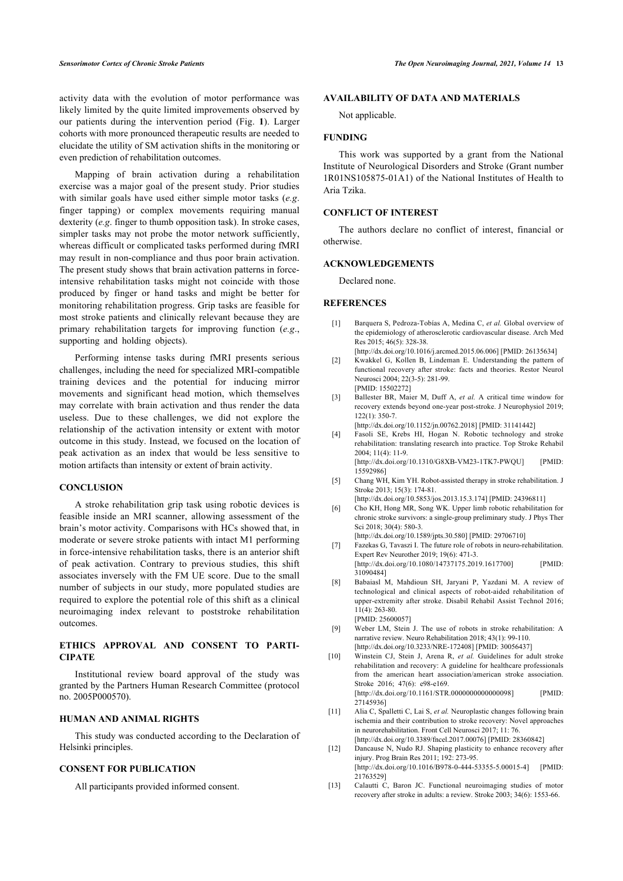activity data with the evolution of motor performance was likely limited by the quite limited improvements observed by our patients during the intervention period (Fig.**1**). Larger cohorts with more pronounced therapeutic results are needed to elucidate the utility of SM activation shifts in the monitoring or even prediction of rehabilitation outcomes.

Mapping of brain activation during a rehabilitation exercise was a major goal of the present study. Prior studies with similar goals have used either simple motor tasks (*e.g*. finger tapping) or complex movements requiring manual dexterity (*e.g*. finger to thumb opposition task). In stroke cases, simpler tasks may not probe the motor network sufficiently, whereas difficult or complicated tasks performed during fMRI may result in non-compliance and thus poor brain activation. The present study shows that brain activation patterns in forceintensive rehabilitation tasks might not coincide with those produced by finger or hand tasks and might be better for monitoring rehabilitation progress. Grip tasks are feasible for most stroke patients and clinically relevant because they are primary rehabilitation targets for improving function (*e.g*., supporting and holding objects).

<span id="page-5-2"></span><span id="page-5-1"></span><span id="page-5-0"></span>Performing intense tasks during fMRI presents serious challenges, including the need for specialized MRI-compatible training devices and the potential for inducing mirror movements and significant head motion, which themselves may correlate with brain activation and thus render the data useless. Due to these challenges, we did not explore the relationship of the activation intensity or extent with motor outcome in this study. Instead, we focused on the location of peak activation as an index that would be less sensitive to motion artifacts than intensity or extent of brain activity.

# <span id="page-5-4"></span><span id="page-5-3"></span>**CONCLUSION**

<span id="page-5-5"></span>A stroke rehabilitation grip task using robotic devices is feasible inside an MRI scanner, allowing assessment of the brain's motor activity. Comparisons with HCs showed that, in moderate or severe stroke patients with intact M1 performing in force-intensive rehabilitation tasks, there is an anterior shift of peak activation. Contrary to previous studies, this shift associates inversely with the FM UE score. Due to the small number of subjects in our study, more populated studies are required to explore the potential role of this shift as a clinical neuroimaging index relevant to poststroke rehabilitation outcomes.

# <span id="page-5-8"></span><span id="page-5-7"></span><span id="page-5-6"></span>**ETHICS APPROVAL AND CONSENT TO PARTI-CIPATE**

Institutional review board approval of the study was granted by the Partners Human Research Committee (protocol no. 2005P000570).

# <span id="page-5-9"></span>**HUMAN AND ANIMAL RIGHTS**

<span id="page-5-10"></span>This study was conducted according to the Declaration of Helsinki principles.

# <span id="page-5-11"></span>**CONSENT FOR PUBLICATION**

All participants provided informed consent.

# **AVAILABILITY OF DATA AND MATERIALS**

Not applicable.

# **FUNDING**

This work was supported by a grant from the National Institute of Neurological Disorders and Stroke (Grant number 1R01NS105875-01A1) of the National Institutes of Health to Aria Tzika.

# **CONFLICT OF INTEREST**

The authors declare no conflict of interest, financial or otherwise.

#### **ACKNOWLEDGEMENTS**

Declared none.

#### **REFERENCES**

- [1] Barquera S, Pedroza-Tobías A, Medina C, *et al.* Global overview of the epidemiology of atherosclerotic cardiovascular disease. Arch Med Res 2015; 46(5): 328-38.
	- [\[http://dx.doi.org/10.1016/j.arcmed.2015.06.006\]](http://dx.doi.org/10.1016/j.arcmed.2015.06.006) [PMID: [26135634](http://www.ncbi.nlm.nih.gov/pubmed/26135634)]
- [2] Kwakkel G, Kollen B, Lindeman E. Understanding the pattern of functional recovery after stroke: facts and theories. Restor Neurol Neurosci 2004; 22(3-5): 281-99. [PMID: [15502272\]](http://www.ncbi.nlm.nih.gov/pubmed/15502272)
- [3] Ballester BR, Maier M, Duff A, *et al.* A critical time window for recovery extends beyond one-year post-stroke. J Neurophysiol 2019;  $122(1)$ : 350-7.

[\[http://dx.doi.org/10.1152/jn.00762.2018\]](http://dx.doi.org/10.1152/jn.00762.2018) [PMID: [31141442\]](http://www.ncbi.nlm.nih.gov/pubmed/31141442)

- [4] Fasoli SE, Krebs HI, Hogan N. Robotic technology and stroke rehabilitation: translating research into practice. Top Stroke Rehabil 2004; 11(4): 11-9. [\[http://dx.doi.org/10.1310/G8XB-VM23-1TK7-PWQU\]](http://dx.doi.org/10.1310/G8XB-VM23-1TK7-PWQU) [PMID: [15592986\]](http://www.ncbi.nlm.nih.gov/pubmed/15592986)
- [5] Chang WH, Kim YH. Robot-assisted therapy in stroke rehabilitation. J Stroke 2013; 15(3): 174-81.
- [\[http://dx.doi.org/10.5853/jos.2013.15.3.174\]](http://dx.doi.org/10.5853/jos.2013.15.3.174) [PMID: [24396811](http://www.ncbi.nlm.nih.gov/pubmed/24396811)]
- [6] Cho KH, Hong MR, Song WK. Upper limb robotic rehabilitation for chronic stroke survivors: a single-group preliminary study. J Phys Ther Sci 2018: 30(4): 580-3. [\[http://dx.doi.org/10.1589/jpts.30.580\]](http://dx.doi.org/10.1589/jpts.30.580) [PMID: [29706710](http://www.ncbi.nlm.nih.gov/pubmed/29706710)]
- [7] Fazekas G, Tavaszi I. The future role of robots in neuro-rehabilitation Expert Rev Neurother 2019; 19(6): 471-3. [\[http://dx.doi.org/10.1080/14737175.2019.1617700](http://dx.doi.org/10.1080/14737175.2019.1617700)] [PMID: [31090484\]](http://www.ncbi.nlm.nih.gov/pubmed/31090484)
- [8] Babaiasl M, Mahdioun SH, Jaryani P, Yazdani M. A review of technological and clinical aspects of robot-aided rehabilitation of upper-extremity after stroke. Disabil Rehabil Assist Technol 2016;  $11(4)$ : 263-80. [PMID: [25600057\]](http://www.ncbi.nlm.nih.gov/pubmed/25600057)
- [9] Weber LM, Stein J. The use of robots in stroke rehabilitation: A narrative review. Neuro Rehabilitation 2018; 43(1): 99-110. [\[http://dx.doi.org/10.3233/NRE-172408\]](http://dx.doi.org/10.3233/NRE-172408) [PMID: [30056437](http://www.ncbi.nlm.nih.gov/pubmed/30056437)]
- [10] Winstein CJ, Stein J, Arena R, *et al.* Guidelines for adult stroke rehabilitation and recovery: A guideline for healthcare professionals from the american heart association/american stroke association. Stroke 2016: 47(6): e98-e169. [\[http://dx.doi.org/10.1161/STR.0000000000000098\]](http://dx.doi.org/10.1161/STR.0000000000000098) [PMID: [27145936\]](http://www.ncbi.nlm.nih.gov/pubmed/27145936)
- [11] Alia C, Spalletti C, Lai S, *et al.* Neuroplastic changes following brain ischemia and their contribution to stroke recovery: Novel approaches in neurorehabilitation. Front Cell Neurosci 2017; 11: 76. [\[http://dx.doi.org/10.3389/fncel.2017.00076](http://dx.doi.org/10.3389/fncel.2017.00076)] [PMID: [28360842](http://www.ncbi.nlm.nih.gov/pubmed/28360842)]
- [12] Dancause N, Nudo RJ. Shaping plasticity to enhance recovery after injury. Prog Brain Res 2011; 192: 273-95. [\[http://dx.doi.org/10.1016/B978-0-444-53355-5.00015-4](http://dx.doi.org/10.1016/B978-0-444-53355-5.00015-4)] [PMID: [21763529\]](http://www.ncbi.nlm.nih.gov/pubmed/21763529)
- [13] Calautti C, Baron JC. Functional neuroimaging studies of motor recovery after stroke in adults: a review. Stroke 2003; 34(6): 1553-66.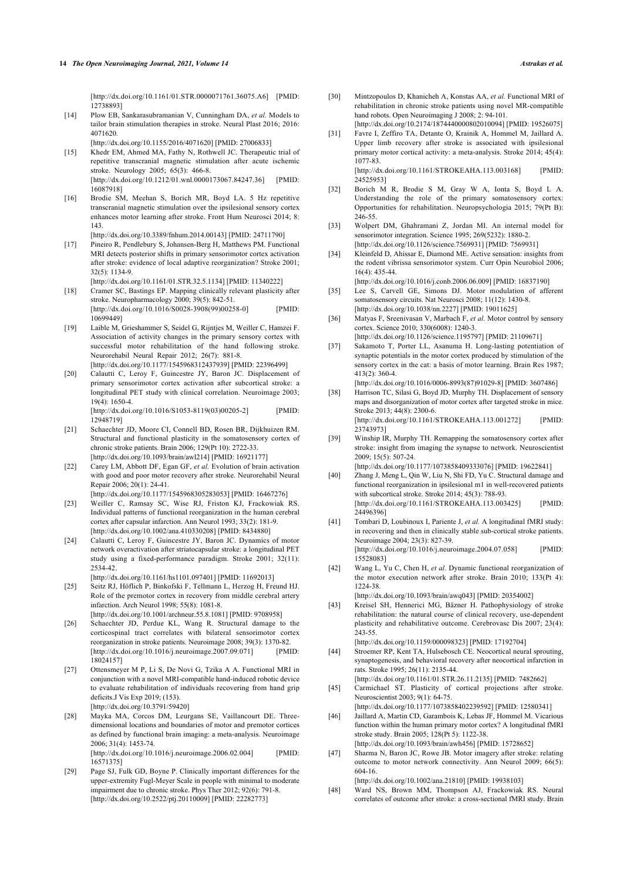[\[http://dx.doi.org/10.1161/01.STR.0000071761.36075.A6](http://dx.doi.org/10.1161/01.STR.0000071761.36075.A6)] [PMID: [12738893\]](http://www.ncbi.nlm.nih.gov/pubmed/12738893)

- <span id="page-6-13"></span><span id="page-6-0"></span>[14] Plow EB, Sankarasubramanian V, Cunningham DA, *et al.* Models to tailor brain stimulation therapies in stroke. Neural Plast 2016; 2016: 4071620. [\[http://dx.doi.org/10.1155/2016/4071620\]](http://dx.doi.org/10.1155/2016/4071620) [PMID: [27006833](http://www.ncbi.nlm.nih.gov/pubmed/27006833)]
- <span id="page-6-14"></span><span id="page-6-1"></span>[15] Khedr EM, Ahmed MA, Fathy N, Rothwell JC. Therapeutic trial of repetitive transcranial magnetic stimulation after acute ischemic stroke. Neurology 2005; 65(3): 466-8.  $[http://dx.doi.org/10.1212/01.wnl.0000173067.84247.36] [PMID:$  $[http://dx.doi.org/10.1212/01.wnl.0000173067.84247.36] [PMID:$ [16087918\]](http://www.ncbi.nlm.nih.gov/pubmed/16087918)
- <span id="page-6-15"></span><span id="page-6-2"></span>[16] Brodie SM, Meehan S, Borich MR, Boyd LA. 5 Hz repetitive transcranial magnetic stimulation over the ipsilesional sensory cortex enhances motor learning after stroke. Front Hum Neurosci 2014; 8: 143.
- <span id="page-6-16"></span><span id="page-6-3"></span>[\[http://dx.doi.org/10.3389/fnhum.2014.00143](http://dx.doi.org/10.3389/fnhum.2014.00143)] [PMID: [24711790](http://www.ncbi.nlm.nih.gov/pubmed/24711790)] [17] Pineiro R, Pendlebury S, Johansen-Berg H, Matthews PM. Functional
- <span id="page-6-17"></span>MRI detects posterior shifts in primary sensorimotor cortex activation after stroke: evidence of local adaptive reorganization? Stroke 2001; 32(5): 1134-9.
- [\[http://dx.doi.org/10.1161/01.STR.32.5.1134\]](http://dx.doi.org/10.1161/01.STR.32.5.1134) [PMID: [11340222](http://www.ncbi.nlm.nih.gov/pubmed/11340222)] [18] Cramer SC, Bastings EP. Mapping clinically relevant plasticity after stroke. Neuropharmacology 2000; 39(5): 842-51.
- [\[http://dx.doi.org/10.1016/S0028-3908\(99\)00258-0](http://dx.doi.org/10.1016/S0028-3908(99)00258-0)] [PMID: [10699449\]](http://www.ncbi.nlm.nih.gov/pubmed/10699449)
- <span id="page-6-18"></span>[19] Laible M, Grieshammer S, Seidel G, Rijntjes M, Weiller C, Hamzei F. Association of activity changes in the primary sensory cortex with successful motor rehabilitation of the hand following stroke. Neurorehabil Neural Repair 2012; 26(7): 881-8. [\[http://dx.doi.org/10.1177/1545968312437939](http://dx.doi.org/10.1177/1545968312437939)] [PMID: [22396499\]](http://www.ncbi.nlm.nih.gov/pubmed/22396499)
- <span id="page-6-19"></span>[20] Calautti C, Leroy F, Guincestre JY, Baron JC. Displacement of primary sensorimotor cortex activation after subcortical stroke: a longitudinal PET study with clinical correlation. Neuroimage 2003; 19(4): 1650-4. [\[http://dx.doi.org/10.1016/S1053-8119\(03\)00205-2](http://dx.doi.org/10.1016/S1053-8119(03)00205-2)] [PMID:

<span id="page-6-5"></span>[12948719\]](http://www.ncbi.nlm.nih.gov/pubmed/12948719) [21] Schaechter JD, Moore CI, Connell BD, Rosen BR, Dijkhuizen RM. Structural and functional plasticity in the somatosensory cortex of

- <span id="page-6-20"></span>chronic stroke patients. Brain 2006; 129(Pt 10): 2722-33. [\[http://dx.doi.org/10.1093/brain/awl214](http://dx.doi.org/10.1093/brain/awl214)] [PMID: [16921177\]](http://www.ncbi.nlm.nih.gov/pubmed/16921177) [22] Carey LM, Abbott DF, Egan GF, *et al.* Evolution of brain activation
- <span id="page-6-21"></span><span id="page-6-4"></span>with good and poor motor recovery after stroke. Neurorehabil Neural Repair 2006; 20(1): 24-41. [\[http://dx.doi.org/10.1177/1545968305283053](http://dx.doi.org/10.1177/1545968305283053)] [PMID: [16467276\]](http://www.ncbi.nlm.nih.gov/pubmed/16467276)
- <span id="page-6-22"></span><span id="page-6-6"></span>[23] Weiller C, Ramsay SC, Wise RJ, Friston KJ, Frackowiak RS. Individual patterns of functional reorganization in the human cerebral cortex after capsular infarction. Ann Neurol 1993; 33(2): 181-9. [\[http://dx.doi.org/10.1002/ana.410330208](http://dx.doi.org/10.1002/ana.410330208)] [PMID: [8434880](http://www.ncbi.nlm.nih.gov/pubmed/8434880)]
- <span id="page-6-7"></span>[24] Calautti C, Leroy F, Guincestre JY, Baron JC. Dynamics of motor network overactivation after striatocapsular stroke: a longitudinal PET study using a fixed-performance paradigm. Stroke 2001; 32(11): 2534-42.
- <span id="page-6-23"></span><span id="page-6-8"></span>[\[http://dx.doi.org/10.1161/hs1101.097401](http://dx.doi.org/10.1161/hs1101.097401)] [PMID: [11692013\]](http://www.ncbi.nlm.nih.gov/pubmed/11692013) [25] Seitz RJ, Höflich P, Binkofski F, Tellmann L, Herzog H, Freund HJ. Role of the premotor cortex in recovery from middle cerebral artery infarction. Arch Neurol 1998; 55(8): 1081-8. [\[http://dx.doi.org/10.1001/archneur.55.8.1081](http://dx.doi.org/10.1001/archneur.55.8.1081)] [PMID: [9708958\]](http://www.ncbi.nlm.nih.gov/pubmed/9708958)
- <span id="page-6-24"></span><span id="page-6-9"></span>[26] Schaechter JD, Perdue KL, Wang R. Structural damage to the corticospinal tract correlates with bilateral sensorimotor cortex reorganization in stroke patients. Neuroimage 2008; 39(3): 1370-82.<br>[http://dx.doi.org/10.1016/j.neuroimage.2007.09.0711 [PMID]  $[http://dx.doi.org/10.1016/j.neuroimage.2007.09.071]$ [18024157\]](http://www.ncbi.nlm.nih.gov/pubmed/18024157)
- <span id="page-6-26"></span><span id="page-6-25"></span><span id="page-6-10"></span>[27] Ottensmeyer M P, Li S, De Novi G, Tzika A A. Functional MRI in conjunction with a novel MRI-compatible hand-induced robotic device to evaluate rehabilitation of individuals recovering from hand grip deficits.J Vis Exp 2019; (153). [\[http://dx.doi.org/10.3791/59420\]](http://dx.doi.org/10.3791/59420)
- <span id="page-6-11"></span>[28] Mayka MA, Corcos DM, Leurgans SE, Vaillancourt DE. Threedimensional locations and boundaries of motor and premotor cortices as defined by functional brain imaging: a meta-analysis. Neuroimage 2006; 31(4): 1453-74.

[\[http://dx.doi.org/10.1016/j.neuroimage.2006.02.004\]](http://dx.doi.org/10.1016/j.neuroimage.2006.02.004) [PMID: [16571375\]](http://www.ncbi.nlm.nih.gov/pubmed/16571375)

<span id="page-6-28"></span><span id="page-6-27"></span><span id="page-6-12"></span>[29] Page SJ, Fulk GD, Boyne P. Clinically important differences for the upper-extremity Fugl-Meyer Scale in people with minimal to moderate impairment due to chronic stroke. Phys Ther 2012; 92(6): 791-8. [\[http://dx.doi.org/10.2522/ptj.20110009](http://dx.doi.org/10.2522/ptj.20110009)] [PMID: [22282773\]](http://www.ncbi.nlm.nih.gov/pubmed/22282773)

- [30] Mintzopoulos D, Khanicheh A, Konstas AA, *et al.* Functional MRI of rehabilitation in chronic stroke patients using novel MR-compatible hand robots. Open Neuroimaging J 2008; 2: 94-101. [\[http://dx.doi.org/10.2174/1874440000802010094\]](http://dx.doi.org/10.2174/1874440000802010094) [PMID: [19526075\]](http://www.ncbi.nlm.nih.gov/pubmed/19526075)
- [31] Favre I, Zeffiro TA, Detante O, Krainik A, Hommel M, Jaillard A. Upper limb recovery after stroke is associated with ipsilesional primary motor cortical activity: a meta-analysis. Stroke 2014; 45(4): 1077-83. [\[http://dx.doi.org/10.1161/STROKEAHA.113.003168\]](http://dx.doi.org/10.1161/STROKEAHA.113.003168) [PMID:
- [24525953\]](http://www.ncbi.nlm.nih.gov/pubmed/24525953) [32] Borich M R, Brodie S M, Gray W A, Ionta S, Boyd L A. Understanding the role of the primary somatosensory cortex:
- Opportunities for rehabilitation. Neuropsychologia 2015; 79(Pt B): 246-55. [33] Wolpert DM, Ghahramani Z, Jordan MI. An internal model for
- sensorimotor integration. Science 1995; 269(5232): 1880-2. [\[http://dx.doi.org/10.1126/science.7569931](http://dx.doi.org/10.1126/science.7569931)] [PMID: [7569931](http://www.ncbi.nlm.nih.gov/pubmed/7569931)]
- [34] Kleinfeld D, Ahissar E, Diamond ME. Active sensation: insights from the rodent vibrissa sensorimotor system. Curr Opin Neurobiol 2006; 16(4): 435-44.

[\[http://dx.doi.org/10.1016/j.conb.2006.06.009\]](http://dx.doi.org/10.1016/j.conb.2006.06.009) [PMID: [16837190](http://www.ncbi.nlm.nih.gov/pubmed/16837190)]

- [35] Lee S, Carvell GE, Simons DJ. Motor modulation of afferent somatosensory circuits. Nat Neurosci 2008; 11(12): 1430-8. [\[http://dx.doi.org/10.1038/nn.2227](http://dx.doi.org/10.1038/nn.2227)] [PMID: [19011625\]](http://www.ncbi.nlm.nih.gov/pubmed/19011625)
- [36] Matyas F, Sreenivasan V, Marbach F, *et al.* Motor control by sensory cortex. Science 2010; 330(6008): 1240-3.
- [\[http://dx.doi.org/10.1126/science.1195797](http://dx.doi.org/10.1126/science.1195797)] [PMID: [21109671\]](http://www.ncbi.nlm.nih.gov/pubmed/21109671) [37] Sakamoto T, Porter LL, Asanuma H. Long-lasting potentiation of
- synaptic potentials in the motor cortex produced by stimulation of the sensory cortex in the cat: a basis of motor learning. Brain Res 1987: 413(2): 360-4.
- [\[http://dx.doi.org/10.1016/0006-8993\(87\)91029-8\]](http://dx.doi.org/10.1016/0006-8993(87)91029-8) [PMID: [3607486\]](http://www.ncbi.nlm.nih.gov/pubmed/3607486) [38] Harrison TC, Silasi G, Boyd JD, Murphy TH. Displacement of sensory maps and disorganization of motor cortex after targeted stroke in mice. Stroke 2013; 44(8): 2300-6. [\[http://dx.doi.org/10.1161/STROKEAHA.113.001272\]](http://dx.doi.org/10.1161/STROKEAHA.113.001272) [PMID: 237439731
- [39] Winship IR, Murphy TH. Remapping the somatosensory cortex after stroke: insight from imaging the synapse to network. Neuroscientist 2009; 15(5): 507-24. [\[http://dx.doi.org/10.1177/1073858409333076](http://dx.doi.org/10.1177/1073858409333076)] [PMID: [19622841](http://www.ncbi.nlm.nih.gov/pubmed/19622841)]
- [40] Zhang J, Meng L, Qin W, Liu N, Shi FD, Yu C. Structural damage and functional reorganization in ipsilesional m1 in well-recovered patients with subcortical stroke. Stroke 2014; 45(3): 788-93. [\[http://dx.doi.org/10.1161/STROKEAHA.113.003425\]](http://dx.doi.org/10.1161/STROKEAHA.113.003425) [PMID: [24496396\]](http://www.ncbi.nlm.nih.gov/pubmed/24496396)
- [41] Tombari D, Loubinoux I, Pariente J, *et al.* A longitudinal fMRI study: in recovering and then in clinically stable sub-cortical stroke patients. Neuroimage 2004; 23(3): 827-39. [\[http://dx.doi.org/10.1016/j.neuroimage.2004.07.058](http://dx.doi.org/10.1016/j.neuroimage.2004.07.058)] [PMID: [15528083\]](http://www.ncbi.nlm.nih.gov/pubmed/15528083)
- [42] Wang L, Yu C, Chen H, *et al.* Dynamic functional reorganization of the motor execution network after stroke. Brain 2010; 133(Pt 4): 1224-38.

[\[http://dx.doi.org/10.1093/brain/awq043\]](http://dx.doi.org/10.1093/brain/awq043) [PMID: [20354002\]](http://www.ncbi.nlm.nih.gov/pubmed/20354002)

[43] Kreisel SH, Hennerici MG, Bäzner H. Pathophysiology of stroke rehabilitation: the natural course of clinical recovery, use-dependent plasticity and rehabilitative outcome. Cerebrovasc Dis 2007; 23(4): 243-55.

[\[http://dx.doi.org/10.1159/000098323\]](http://dx.doi.org/10.1159/000098323) [PMID: [17192704\]](http://www.ncbi.nlm.nih.gov/pubmed/17192704)

- [44] Stroemer RP, Kent TA, Hulsebosch CE. Neocortical neural sprouting, synaptogenesis, and behavioral recovery after neocortical infarction in rats. Stroke 1995; 26(11): 2135-44.
- [\[http://dx.doi.org/10.1161/01.STR.26.11.2135](http://dx.doi.org/10.1161/01.STR.26.11.2135)] [PMID: [7482662](http://www.ncbi.nlm.nih.gov/pubmed/7482662)] [45] Carmichael ST. Plasticity of cortical projections after stroke. Neuroscientist 2003; 9(1): 64-75.
	- [\[http://dx.doi.org/10.1177/1073858402239592](http://dx.doi.org/10.1177/1073858402239592)] [PMID: [12580341](http://www.ncbi.nlm.nih.gov/pubmed/12580341)]
- [46] Jaillard A, Martin CD, Garambois K, Lebas JF, Hommel M. Vicarious function within the human primary motor cortex? A longitudinal fMRI stroke study. Brain 2005; 128(Pt 5): 1122-38. [\[http://dx.doi.org/10.1093/brain/awh456\]](http://dx.doi.org/10.1093/brain/awh456) [PMID: [15728652\]](http://www.ncbi.nlm.nih.gov/pubmed/15728652)
- [47] Sharma N, Baron JC, Rowe JB. Motor imagery after stroke: relating outcome to motor network connectivity. Ann Neurol 2009; 66(5): 604-16.

[\[http://dx.doi.org/10.1002/ana.21810](http://dx.doi.org/10.1002/ana.21810)] [PMID: [19938103](http://www.ncbi.nlm.nih.gov/pubmed/19938103)]

[48] Ward NS, Brown MM, Thompson AJ, Frackowiak RS. Neural correlates of outcome after stroke: a cross-sectional fMRI study. Brain